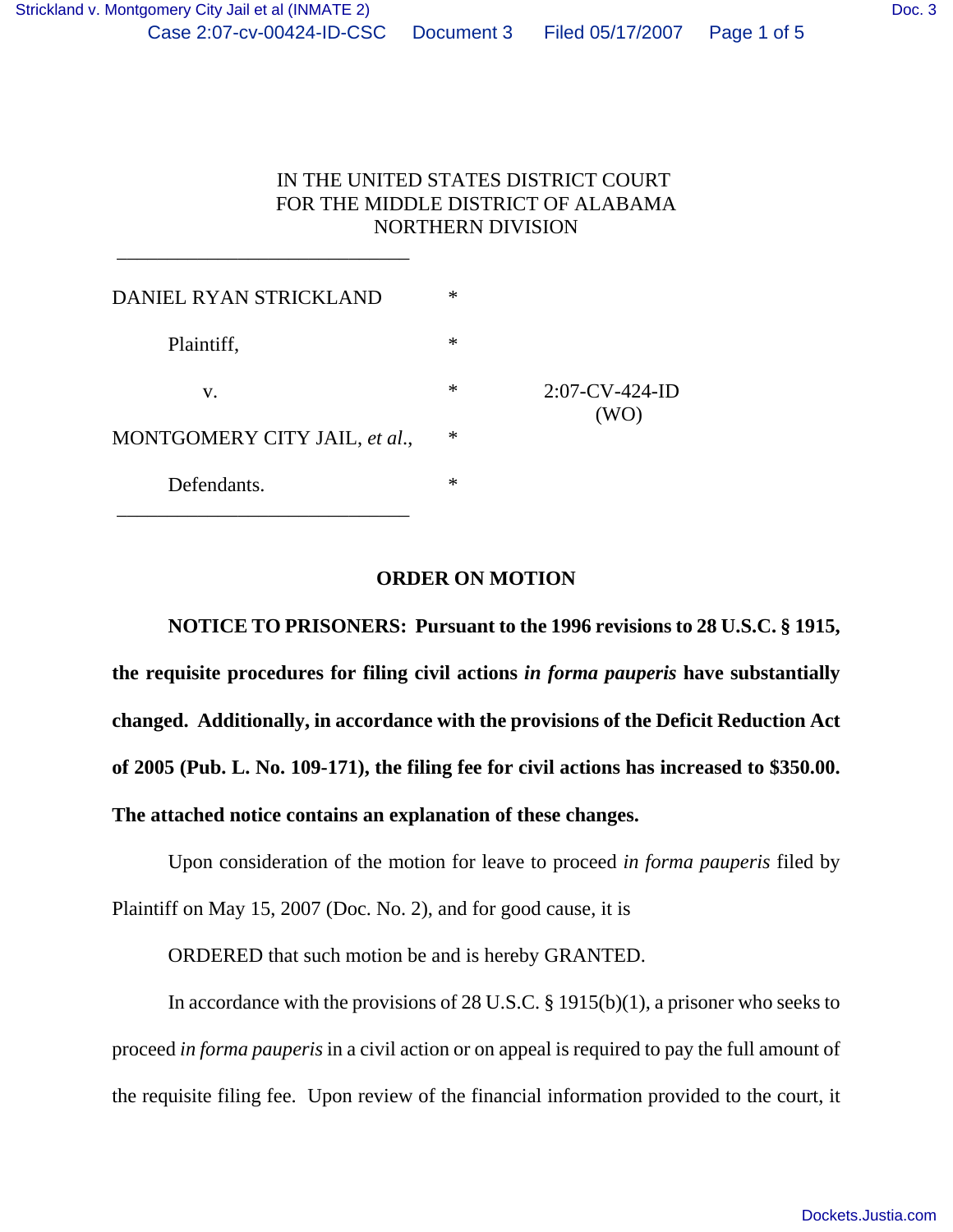## IN THE UNITED STATES DISTRICT COURT FOR THE MIDDLE DISTRICT OF ALABAMA NORTHERN DIVISION

| DANIEL RYAN STRICKLAND        | $\ast$ |                           |
|-------------------------------|--------|---------------------------|
| Plaintiff,                    | ∗      | $2:07$ -CV-424-ID<br>(WO) |
| v.                            | $\ast$ |                           |
| MONTGOMERY CITY JAIL, et al., | $\ast$ |                           |
| Defendants.                   | $\ast$ |                           |

\_\_\_\_\_\_\_\_\_\_\_\_\_\_\_\_\_\_\_\_\_\_\_\_\_\_\_\_\_

#### **ORDER ON MOTION**

**NOTICE TO PRISONERS: Pursuant to the 1996 revisions to 28 U.S.C. § 1915, the requisite procedures for filing civil actions** *in forma pauperis* **have substantially changed. Additionally, in accordance with the provisions of the Deficit Reduction Act of 2005 (Pub. L. No. 109-171), the filing fee for civil actions has increased to \$350.00. The attached notice contains an explanation of these changes.**

Upon consideration of the motion for leave to proceed *in forma pauperis* filed by Plaintiff on May 15, 2007 (Doc. No. 2), and for good cause, it is

ORDERED that such motion be and is hereby GRANTED.

In accordance with the provisions of 28 U.S.C. § 1915(b)(1), a prisoner who seeks to proceed *in forma pauperis* in a civil action or on appeal is required to pay the full amount of the requisite filing fee. Upon review of the financial information provided to the court, it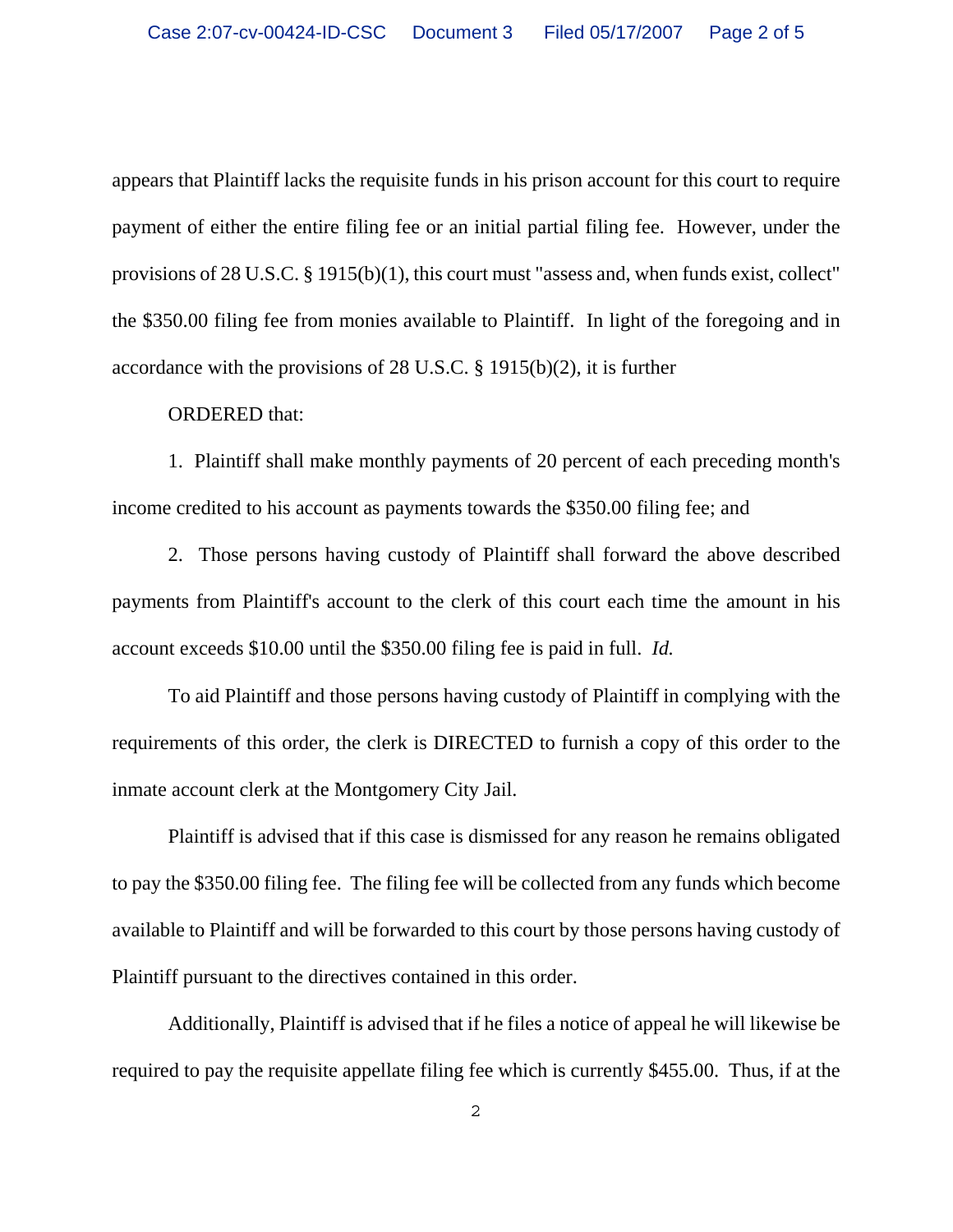appears that Plaintiff lacks the requisite funds in his prison account for this court to require payment of either the entire filing fee or an initial partial filing fee. However, under the provisions of 28 U.S.C. § 1915(b)(1), this court must "assess and, when funds exist, collect" the \$350.00 filing fee from monies available to Plaintiff. In light of the foregoing and in accordance with the provisions of 28 U.S.C. § 1915(b)(2), it is further

#### ORDERED that:

1. Plaintiff shall make monthly payments of 20 percent of each preceding month's income credited to his account as payments towards the \$350.00 filing fee; and

2. Those persons having custody of Plaintiff shall forward the above described payments from Plaintiff's account to the clerk of this court each time the amount in his account exceeds \$10.00 until the \$350.00 filing fee is paid in full. *Id.* 

To aid Plaintiff and those persons having custody of Plaintiff in complying with the requirements of this order, the clerk is DIRECTED to furnish a copy of this order to the inmate account clerk at the Montgomery City Jail.

Plaintiff is advised that if this case is dismissed for any reason he remains obligated to pay the \$350.00 filing fee. The filing fee will be collected from any funds which become available to Plaintiff and will be forwarded to this court by those persons having custody of Plaintiff pursuant to the directives contained in this order.

Additionally, Plaintiff is advised that if he files a notice of appeal he will likewise be required to pay the requisite appellate filing fee which is currently \$455.00. Thus, if at the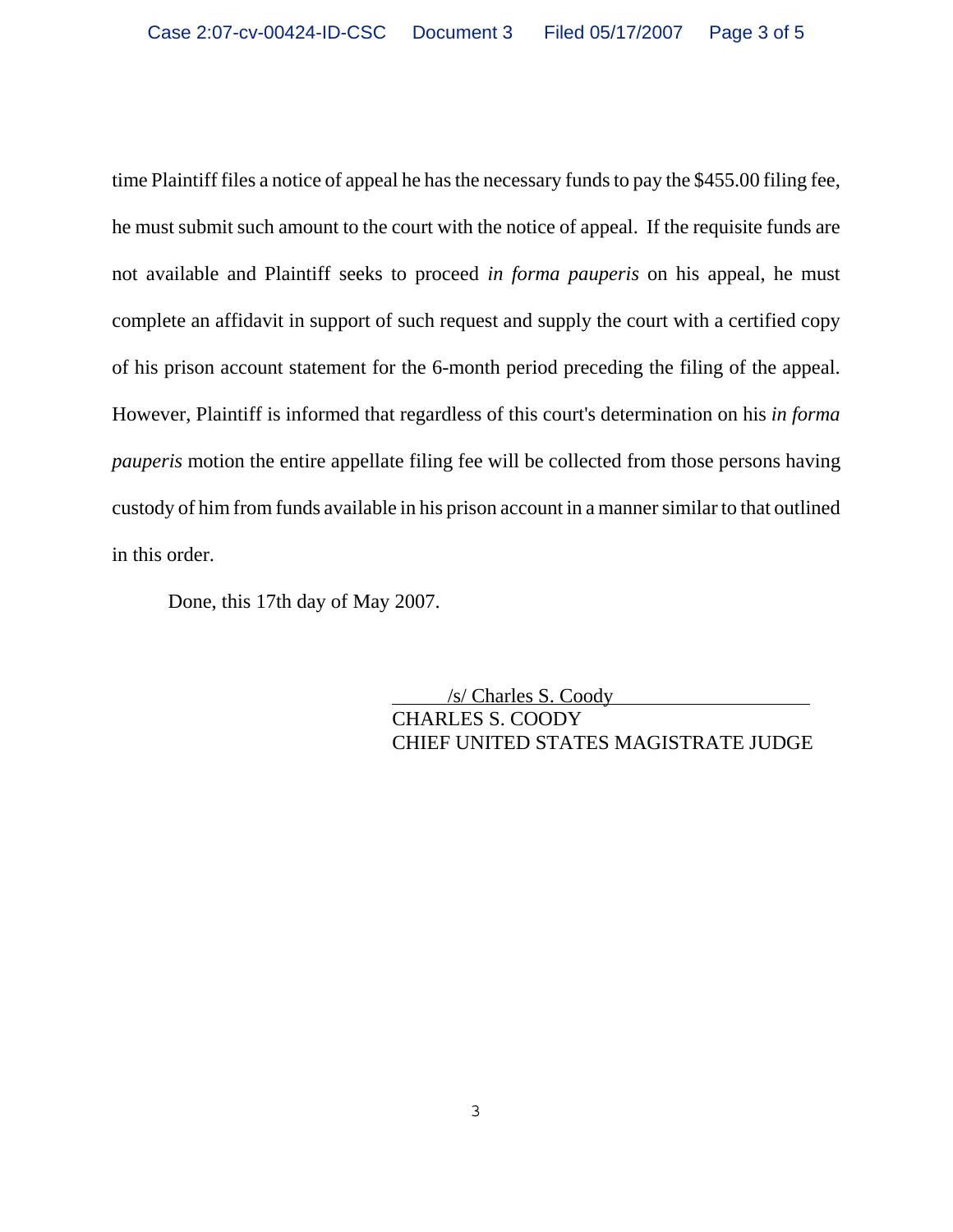time Plaintiff files a notice of appeal he has the necessary funds to pay the \$455.00 filing fee, he must submit such amount to the court with the notice of appeal. If the requisite funds are not available and Plaintiff seeks to proceed *in forma pauperis* on his appeal, he must complete an affidavit in support of such request and supply the court with a certified copy of his prison account statement for the 6-month period preceding the filing of the appeal. However, Plaintiff is informed that regardless of this court's determination on his *in forma pauperis* motion the entire appellate filing fee will be collected from those persons having custody of him from funds available in his prison account in a manner similar to that outlined in this order.

Done, this 17th day of May 2007.

 /s/ Charles S. Coody CHARLES S. COODY CHIEF UNITED STATES MAGISTRATE JUDGE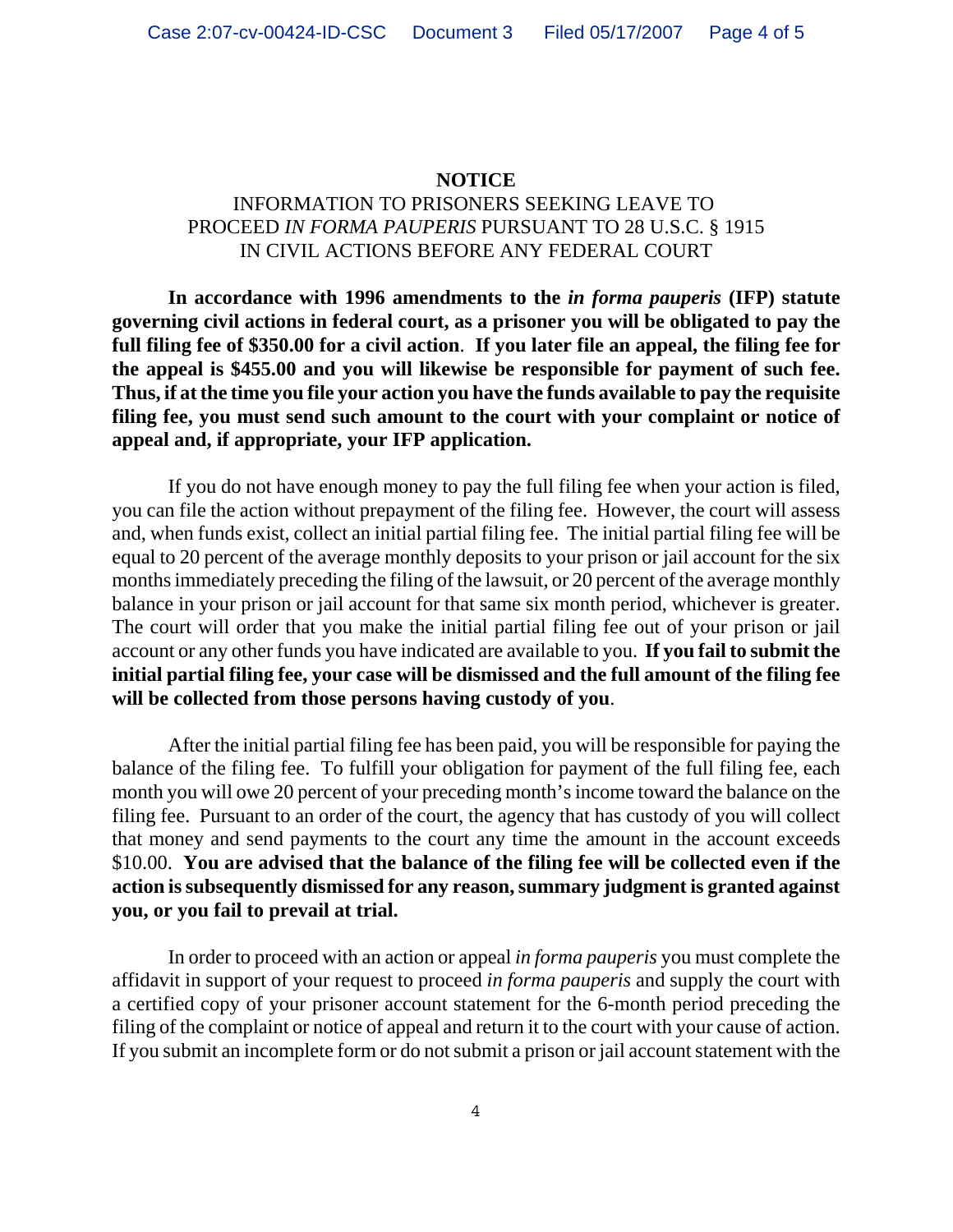### **NOTICE**

# INFORMATION TO PRISONERS SEEKING LEAVE TO PROCEED *IN FORMA PAUPERIS* PURSUANT TO 28 U.S.C. § 1915 IN CIVIL ACTIONS BEFORE ANY FEDERAL COURT

**In accordance with 1996 amendments to the** *in forma pauperis* **(IFP) statute governing civil actions in federal court, as a prisoner you will be obligated to pay the full filing fee of \$350.00 for a civil action**. **If you later file an appeal, the filing fee for the appeal is \$455.00 and you will likewise be responsible for payment of such fee. Thus, if at the time you file your action you have the funds available to pay the requisite filing fee, you must send such amount to the court with your complaint or notice of appeal and, if appropriate, your IFP application.** 

If you do not have enough money to pay the full filing fee when your action is filed, you can file the action without prepayment of the filing fee. However, the court will assess and, when funds exist, collect an initial partial filing fee. The initial partial filing fee will be equal to 20 percent of the average monthly deposits to your prison or jail account for the six months immediately preceding the filing of the lawsuit, or 20 percent of the average monthly balance in your prison or jail account for that same six month period, whichever is greater. The court will order that you make the initial partial filing fee out of your prison or jail account or any other funds you have indicated are available to you. **If you fail to submit the initial partial filing fee, your case will be dismissed and the full amount of the filing fee will be collected from those persons having custody of you**.

After the initial partial filing fee has been paid, you will be responsible for paying the balance of the filing fee. To fulfill your obligation for payment of the full filing fee, each month you will owe 20 percent of your preceding month's income toward the balance on the filing fee. Pursuant to an order of the court, the agency that has custody of you will collect that money and send payments to the court any time the amount in the account exceeds \$10.00. **You are advised that the balance of the filing fee will be collected even if the action is subsequently dismissed for any reason, summary judgment is granted against you, or you fail to prevail at trial.** 

In order to proceed with an action or appeal *in forma pauperis* you must complete the affidavit in support of your request to proceed *in forma pauperis* and supply the court with a certified copy of your prisoner account statement for the 6-month period preceding the filing of the complaint or notice of appeal and return it to the court with your cause of action. If you submit an incomplete form or do not submit a prison or jail account statement with the